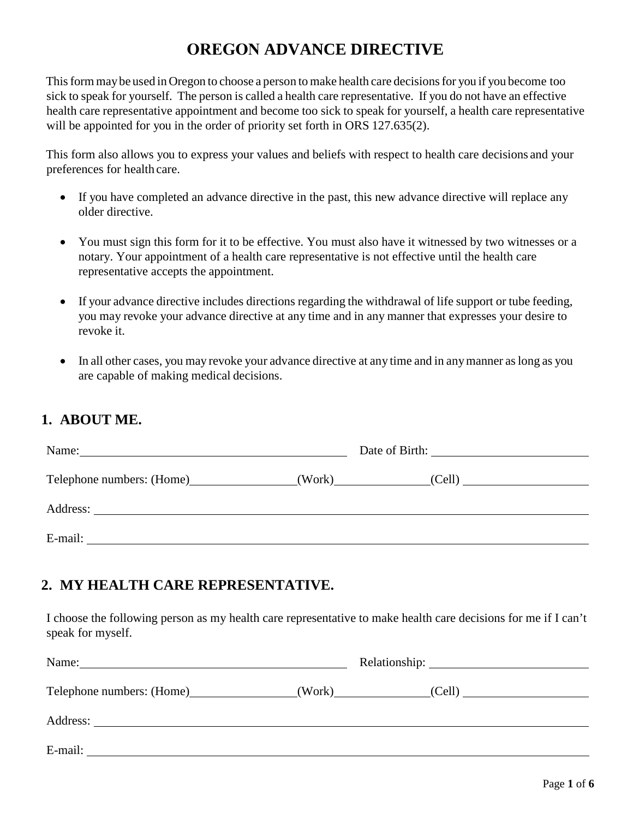# **OREGON ADVANCE DIRECTIVE**

This form may be used in Oregon to choose a person to make health care decisions for you if you become too sick to speak for yourself. The person is called a health care representative. If you do not have an effective health care representative appointment and become too sick to speak for yourself, a health care representative will be appointed for you in the order of priority set forth in ORS 127.635(2).

This form also allows you to express your values and beliefs with respect to health care decisions and your preferences for health care.

- If you have completed an advance directive in the past, this new advance directive will replace any older directive.
- You must sign this form for it to be effective. You must also have it witnessed by two witnesses or a notary. Your appointment of a health care representative is not effective until the health care representative accepts the appointment.
- If your advance directive includes directions regarding the withdrawal of life support or tube feeding, you may revoke your advance directive at any time and in any manner that expresses your desire to revoke it.
- In all other cases, you may revoke your advance directive at any time and in any manner as long as you are capable of making medical decisions.

# **1. ABOUT ME.**

| Name:                     |  |
|---------------------------|--|
| Telephone numbers: (Home) |  |
|                           |  |
| E-mail:                   |  |

# **2. MY HEALTH CARE REPRESENTATIVE.**

I choose the following person as my health care representative to make health care decisions for me if I can't speak for myself.

| Telephone numbers: (Home) |  |
|---------------------------|--|
|                           |  |
| E-mail:                   |  |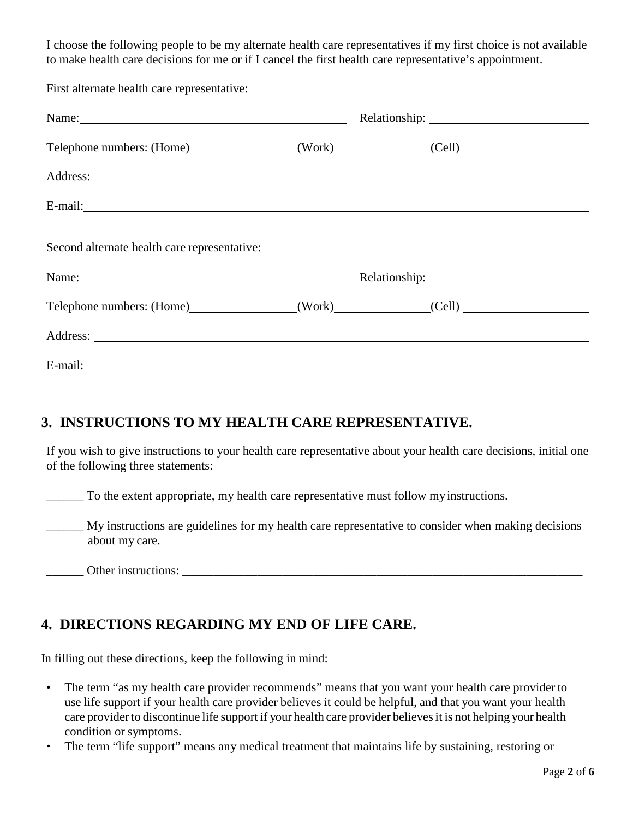I choose the following people to be my alternate health care representatives if my first choice is not available to make health care decisions for me or if I cancel the first health care representative's appointment.

First alternate health care representative:

| Name: Name and the set of the set of the set of the set of the set of the set of the set of the set of the set of the set of the set of the set of the set of the set of the set of the set of the set of the set of the set o |                                         |
|--------------------------------------------------------------------------------------------------------------------------------------------------------------------------------------------------------------------------------|-----------------------------------------|
|                                                                                                                                                                                                                                | Telephone numbers: (Home) (Work) (Cell) |
|                                                                                                                                                                                                                                |                                         |
|                                                                                                                                                                                                                                |                                         |
| Second alternate health care representative:                                                                                                                                                                                   |                                         |
| Name: $\frac{1}{2}$                                                                                                                                                                                                            | Relationship: 2000                      |
| Telephone numbers: (Home) (Work) (Cell)                                                                                                                                                                                        |                                         |
|                                                                                                                                                                                                                                |                                         |
|                                                                                                                                                                                                                                |                                         |

# **3. INSTRUCTIONS TO MY HEALTH CARE REPRESENTATIVE.**

If you wish to give instructions to your health care representative about your health care decisions, initial one of the following three statements:

To the extent appropriate, my health care representative must follow my instructions.

\_\_\_\_\_\_ My instructions are guidelines for my health care representative to consider when making decisions about my care.

Other instructions:

# **4. DIRECTIONS REGARDING MY END OF LIFE CARE.**

In filling out these directions, keep the following in mind:

- The term "as my health care provider recommends" means that you want your health care provider to use life support if your health care provider believes it could be helpful, and that you want your health care provider to discontinue life support if your health care provider believesit is not helping your health condition or symptoms.
- The term "life support" means any medical treatment that maintains life by sustaining, restoring or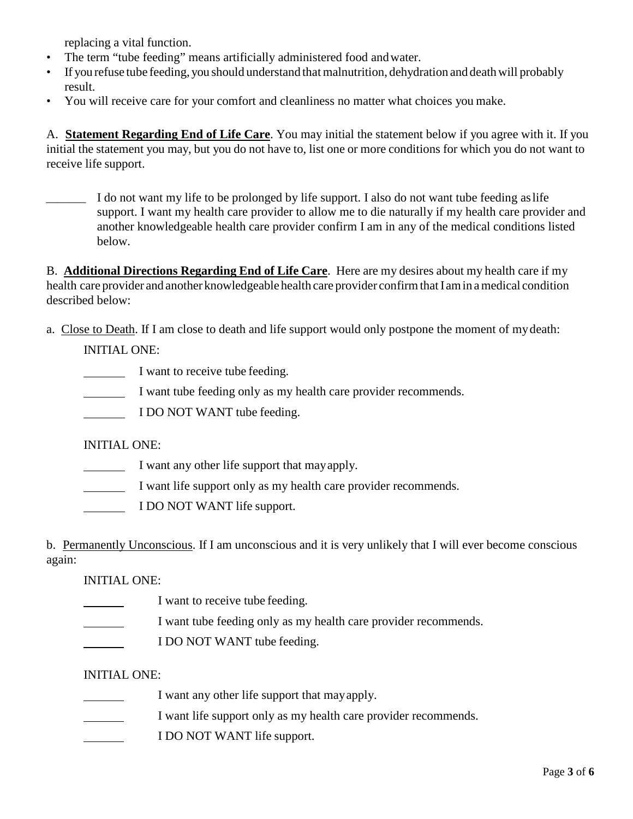replacing a vital function.

- The term "tube feeding" means artificially administered food andwater.
- If you refuse tube feeding, you should understand that malnutrition, dehydration and deathwill probably result.
- You will receive care for your comfort and cleanliness no matter what choices you make.

A. **Statement Regarding End of Life Care**. You may initial the statement below if you agree with it. If you initial the statement you may, but you do not have to, list one or more conditions for which you do not want to receive life support.

\_\_\_\_\_\_\_ I do not want my life to be prolonged by life support. I also do not want tube feeding as life support. I want my health care provider to allow me to die naturally if my health care provider and another knowledgeable health care provider confirm I am in any of the medical conditions listed below.

B. **Additional Directions Regarding End of Life Care**. Here are my desires about my health care if my health care provider and another knowledgeable health care provider confirmthat I amin a medical condition described below:

a. Close to Death. If I am close to death and life support would only postpone the moment of my death:

INITIAL ONE:

- I want to receive tube feeding.
- I want tube feeding only as my health care provider recommends.
- I DO NOT WANT tube feeding.

INITIAL ONE:

- I want any other life support that may apply.
- I want life support only as my health care provider recommends.
- I DO NOT WANT life support.

b. Permanently Unconscious. If I am unconscious and it is very unlikely that I will ever become conscious again:

#### INITIAL ONE:

- I want to receive tube feeding.
- I want tube feeding only as my health care provider recommends.
- **I DO NOT WANT tube feeding.**

#### INITIAL ONE:

- I want any other life support that may apply.
- I want life support only as my health care provider recommends.
- I DO NOT WANT life support.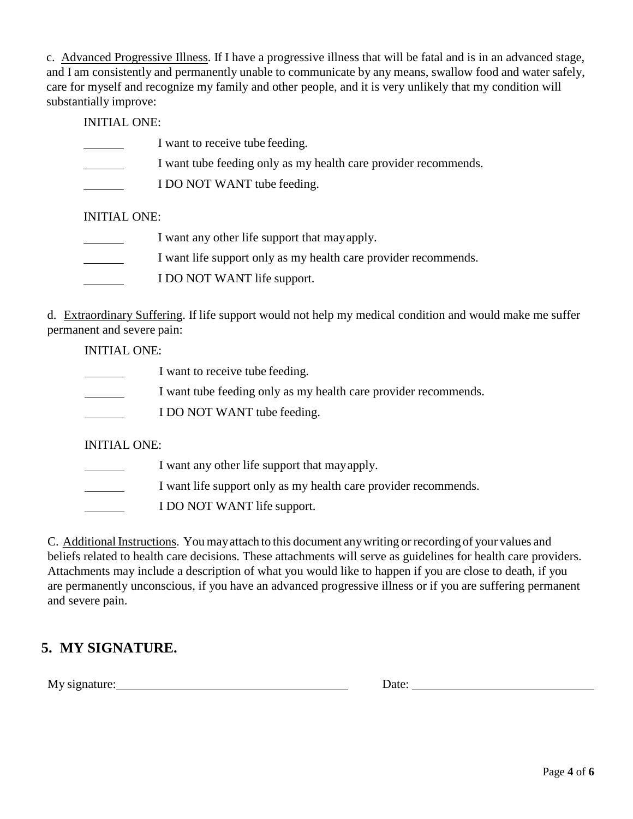c. Advanced Progressive Illness. If I have a progressive illness that will be fatal and is in an advanced stage, and I am consistently and permanently unable to communicate by any means, swallow food and water safely, care for myself and recognize my family and other people, and it is very unlikely that my condition will substantially improve:

INITIAL ONE:

- I want to receive tube feeding.
- I want tube feeding only as my health care provider recommends.
- I DO NOT WANT tube feeding.

#### INITIAL ONE:

 I want any other life support that may apply. I want life support only as my health care provider recommends. I DO NOT WANT life support.

d. Extraordinary Suffering. If life support would not help my medical condition and would make me suffer permanent and severe pain:

INITIAL ONE:

- I want to receive tube feeding.
- I want tube feeding only as my health care provider recommends.
- I DO NOT WANT tube feeding.

INITIAL ONE:

- I want any other life support that may apply.
- I want life support only as my health care provider recommends.
- I DO NOT WANT life support.

C. Additional Instructions. You mayattach to this document anywriting or recording of your values and beliefs related to health care decisions. These attachments will serve as guidelines for health care providers. Attachments may include a description of what you would like to happen if you are close to death, if you are permanently unconscious, if you have an advanced progressive illness or if you are suffering permanent and severe pain.

# **5. MY SIGNATURE.**

My signature: Date: Date: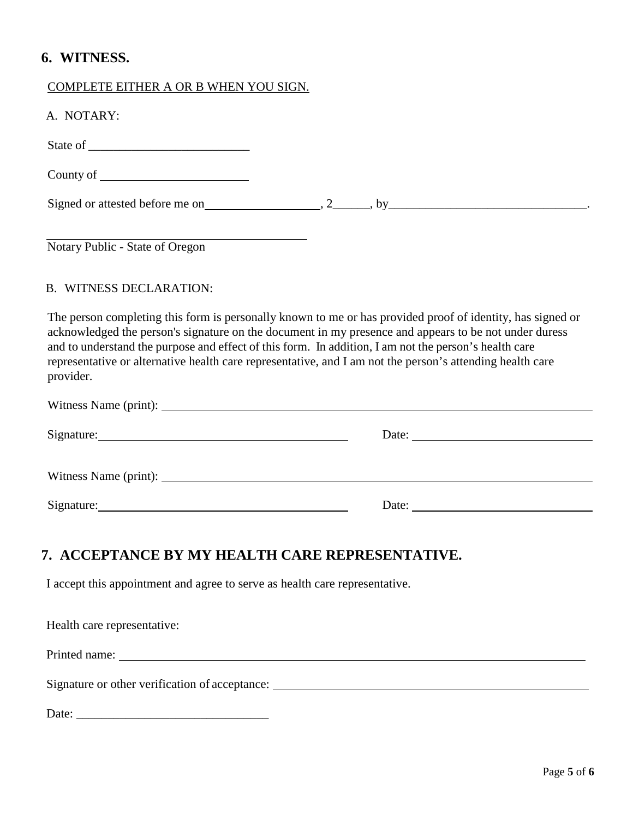### **6. WITNESS.**

#### COMPLETE EITHER A OR B WHEN YOU SIGN.

| A. NOTARY:                      |                                                                                                                                                                                                                                                                                                                                                                                                                                           |
|---------------------------------|-------------------------------------------------------------------------------------------------------------------------------------------------------------------------------------------------------------------------------------------------------------------------------------------------------------------------------------------------------------------------------------------------------------------------------------------|
|                                 |                                                                                                                                                                                                                                                                                                                                                                                                                                           |
|                                 |                                                                                                                                                                                                                                                                                                                                                                                                                                           |
|                                 |                                                                                                                                                                                                                                                                                                                                                                                                                                           |
| Notary Public - State of Oregon |                                                                                                                                                                                                                                                                                                                                                                                                                                           |
| <b>B. WITNESS DECLARATION:</b>  |                                                                                                                                                                                                                                                                                                                                                                                                                                           |
| provider.                       | The person completing this form is personally known to me or has provided proof of identity, has signed or<br>acknowledged the person's signature on the document in my presence and appears to be not under duress<br>and to understand the purpose and effect of this form. In addition, I am not the person's health care<br>representative or alternative health care representative, and I am not the person's attending health care |

| Date: $\qquad \qquad$                                                                                                                                                                                                          |
|--------------------------------------------------------------------------------------------------------------------------------------------------------------------------------------------------------------------------------|
|                                                                                                                                                                                                                                |
| Date: the contract of the contract of the contract of the contract of the contract of the contract of the contract of the contract of the contract of the contract of the contract of the contract of the contract of the cont |
|                                                                                                                                                                                                                                |

# **7. ACCEPTANCE BY MY HEALTH CARE REPRESENTATIVE.**

I accept this appointment and agree to serve as health care representative.

| Health care representative:                                                      |
|----------------------------------------------------------------------------------|
| Printed name:                                                                    |
| Signature or other verification of acceptance: _________________________________ |
|                                                                                  |

| Date: |  |
|-------|--|
|       |  |
|       |  |
|       |  |